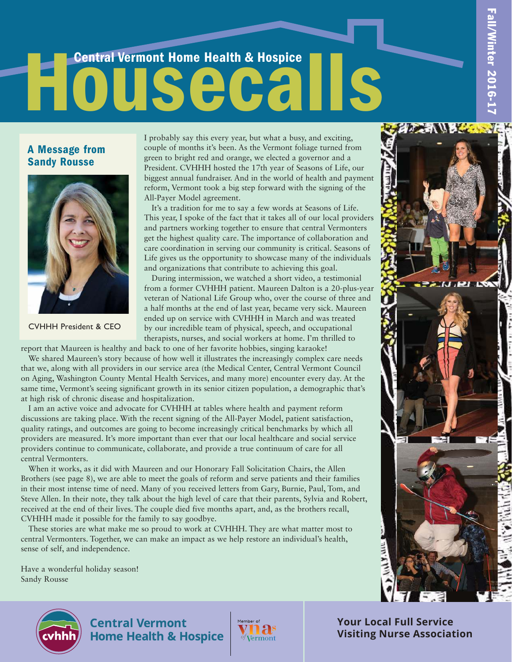**DEALER** 

# Central Vermont Home Health & Hospice Housecalls

#### A Message from Sandy Rousse



CVHHH President & CEO

I probably say this every year, but what a busy, and exciting, couple of months it's been. As the Vermont foliage turned from green to bright red and orange, we elected a governor and a President. CVHHH hosted the 17th year of Seasons of Life, our biggest annual fundraiser. And in the world of health and payment reform, Vermont took a big step forward with the signing of the All-Payer Model agreement.

It's a tradition for me to say a few words at Seasons of Life. This year, I spoke of the fact that it takes all of our local providers and partners working together to ensure that central Vermonters get the highest quality care. The importance of collaboration and care coordination in serving our community is critical. Seasons of Life gives us the opportunity to showcase many of the individuals and organizations that contribute to achieving this goal.

During intermission, we watched a short video, a testimonial from a former CVHHH patient. Maureen Dalton is a 20-plus-year veteran of National Life Group who, over the course of three and a half months at the end of last year, became very sick. Maureen ended up on service with CVHHH in March and was treated by our incredible team of physical, speech, and occupational therapists, nurses, and social workers at home. I'm thrilled to

report that Maureen is healthy and back to one of her favorite hobbies, singing karaoke!

We shared Maureen's story because of how well it illustrates the increasingly complex care needs that we, along with all providers in our service area (the Medical Center, Central Vermont Council on Aging, Washington County Mental Health Services, and many more) encounter every day. At the same time, Vermont's seeing significant growth in its senior citizen population, a demographic that's at high risk of chronic disease and hospitalization.

I am an active voice and advocate for CVHHH at tables where health and payment reform discussions are taking place. With the recent signing of the All-Payer Model, patient satisfaction, quality ratings, and outcomes are going to become increasingly critical benchmarks by which all providers are measured. It's more important than ever that our local healthcare and social service providers continue to communicate, collaborate, and provide a true continuum of care for all central Vermonters.

When it works, as it did with Maureen and our Honorary Fall Solicitation Chairs, the Allen Brothers (see page 8), we are able to meet the goals of reform and serve patients and their families in their most intense time of need. Many of you received letters from Gary, Burnie, Paul, Tom, and Steve Allen. In their note, they talk about the high level of care that their parents, Sylvia and Robert, received at the end of their lives. The couple died five months apart, and, as the brothers recall, CVHHH made it possible for the family to say goodbye.

These stories are what make me so proud to work at CVHHH. They are what matter most to central Vermonters. Together, we can make an impact as we help restore an individual's health, sense of self, and independence.

Have a wonderful holiday season! Sandy Rousse





**Central Vermont Home Health & Hospice** 



**Your Local Full Service Visiting Nurse Association**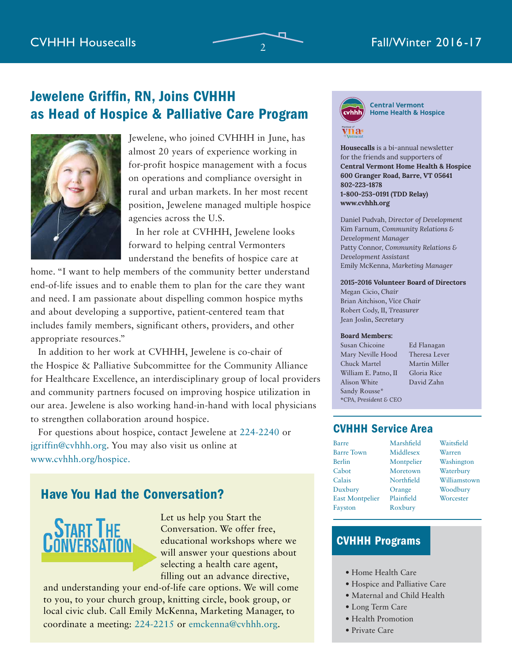# Jewelene Griffin, RN, Joins CVHHH as Head of Hospice & Palliative Care Program



Jewelene, who joined CVHHH in June, has almost 20 years of experience working in for-profit hospice management with a focus on operations and compliance oversight in rural and urban markets. In her most recent position, Jewelene managed multiple hospice agencies across the U.S.

In her role at CVHHH, Jewelene looks forward to helping central Vermonters understand the benefits of hospice care at

home. "I want to help members of the community better understand end-of-life issues and to enable them to plan for the care they want and need. I am passionate about dispelling common hospice myths and about developing a supportive, patient-centered team that includes family members, significant others, providers, and other appropriate resources."

In addition to her work at CVHHH, Jewelene is co-chair of the Hospice & Palliative Subcommittee for the Community Alliance for Healthcare Excellence, an interdisciplinary group of local providers and community partners focused on improving hospice utilization in our area. Jewelene is also working hand-in-hand with local physicians to strengthen collaboration around hospice.

For questions about hospice, contact Jewelene at 224-2240 or jgriffin@cvhhh.org. You may also visit us online at www.cvhhh.org/hospice.

## Have You Had the Conversation?



Let us help you Start the Conversation. We offer free, educational workshops where we will answer your questions about selecting a health care agent, filling out an advance directive,

and understanding your end-of-life care options. We will come to you, to your church group, knitting circle, book group, or local civic club. Call Emily McKenna, Marketing Manager, to coordinate a meeting: 224-2215 or emckenna@cvhhh.org.



**Central Vermont Home Health & Hospice** 

**Housecalls** is a bi-annual newsletter for the friends and supporters of **Central Vermont Home Health & Hospice 600 Granger Road, Barre, VT 05641 802-223-1878 1-800-253-0191 (TDD Relay) www.cvhhh.org**

Daniel Pudvah, *Director of Development* Kim Farnum, *Community Relations & Development Manager* Patty Connor, *Community Relations & Development Assistant* Emily McKenna, *Marketing Manager*

#### **2015-2016 Volunteer Board of Directors**

Megan Cicio, *Chair* Brian Aitchison, *Vice Chair* Robert Cody, II, *Treasurer* Jean Joslin, *Secretary*

#### **Board Members:**

Susan Chicoine Ed Flanagan Mary Neville Hood Theresa Lever Chuck Martel Martin Miller William E. Patno, II Gloria Rice Alison White David Zahn Sandy Rousse\* \**CPA, President & CEO*

#### CVHHH Service Area

| Barre                  | Marshfield | Waitsfield   |
|------------------------|------------|--------------|
| <b>Barre Town</b>      | Middlesex  | Warren       |
| Berlin                 | Montpelier | Washington   |
| Cabot                  | Moretown   | Waterbury    |
| Calais                 | Northfield | Williamstown |
| Duxbury                | Orange     | Woodbury     |
| <b>East Montpelier</b> | Plainfield | Worcester    |
| Fayston                | Roxbury    |              |
|                        |            |              |

### CVHHH Programs

- Home Health Care
- Hospice and Palliative Care
- Maternal and Child Health
- Long Term Care
- Health Promotion
- Private Care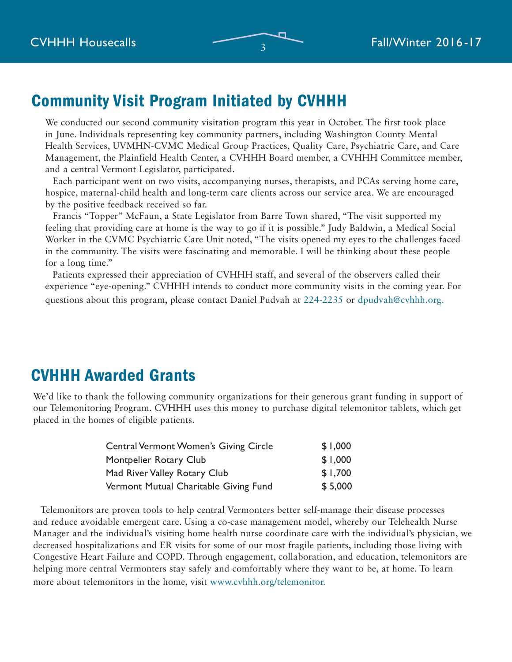# Community Visit Program Initiated by CVHHH

We conducted our second community visitation program this year in October. The first took place in June. Individuals representing key community partners, including Washington County Mental Health Services, UVMHN-CVMC Medical Group Practices, Quality Care, Psychiatric Care, and Care Management, the Plainfield Health Center, a CVHHH Board member, a CVHHH Committee member, and a central Vermont Legislator, participated.

Each participant went on two visits, accompanying nurses, therapists, and PCAs serving home care, hospice, maternal-child health and long-term care clients across our service area. We are encouraged by the positive feedback received so far.

Francis "Topper" McFaun, a State Legislator from Barre Town shared, "The visit supported my feeling that providing care at home is the way to go if it is possible." Judy Baldwin, a Medical Social Worker in the CVMC Psychiatric Care Unit noted, "The visits opened my eyes to the challenges faced in the community. The visits were fascinating and memorable. I will be thinking about these people for a long time."

Patients expressed their appreciation of CVHHH staff, and several of the observers called their experience "eye-opening." CVHHH intends to conduct more community visits in the coming year. For questions about this program, please contact Daniel Pudvah at 224-2235 or dpudvah@cvhhh.org.

# CVHHH Awarded Grants

We'd like to thank the following community organizations for their generous grant funding in support of our Telemonitoring Program. CVHHH uses this money to purchase digital telemonitor tablets, which get placed in the homes of eligible patients.

| <b>Central Vermont Women's Giving Circle</b> | \$1,000 |
|----------------------------------------------|---------|
| Montpelier Rotary Club                       | \$1,000 |
| Mad River Valley Rotary Club                 | \$1,700 |
| Vermont Mutual Charitable Giving Fund        | \$5,000 |

Telemonitors are proven tools to help central Vermonters better self-manage their disease processes and reduce avoidable emergent care. Using a co-case management model, whereby our Telehealth Nurse Manager and the individual's visiting home health nurse coordinate care with the individual's physician, we decreased hospitalizations and ER visits for some of our most fragile patients, including those living with Congestive Heart Failure and COPD. Through engagement, collaboration, and education, telemonitors are helping more central Vermonters stay safely and comfortably where they want to be, at home. To learn more about telemonitors in the home, visit www.cvhhh.org/telemonitor.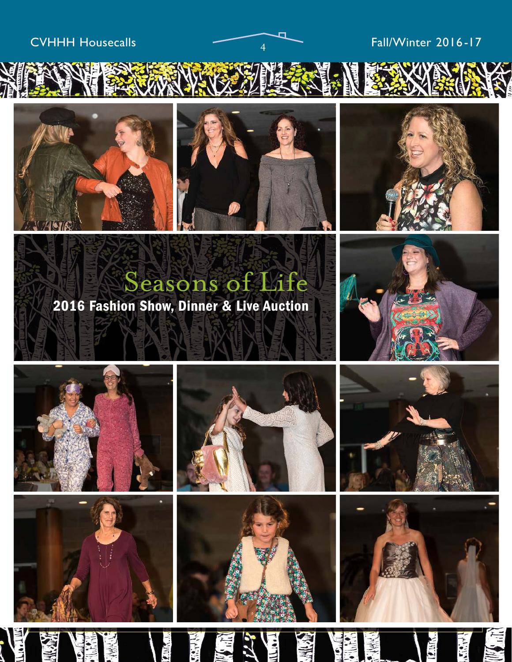# CVHHH Housecalls  $\overline{a}$  Fall/Winter 2016-17







# Seasons of Life 2016 Fashion Show, Dinner & Live Auction













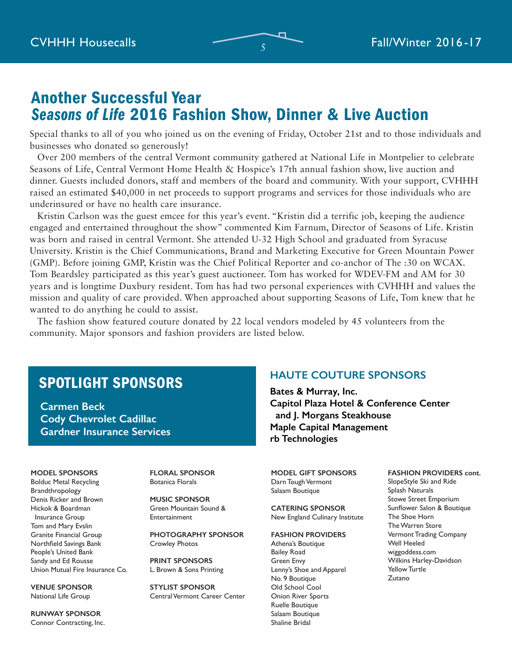# Another Successful Year *Seasons of Life* 2016 Fashion Show, Dinner & Live Auction

Special thanks to all of you who joined us on the evening of Friday, October 21st and to those individuals and businesses who donated so generously!

Over 200 members of the central Vermont community gathered at National Life in Montpelier to celebrate Seasons of Life, Central Vermont Home Health & Hospice's 17th annual fashion show, live auction and dinner. Guests included donors, staff and members of the board and community. With your support, CVHHH raised an estimated \$40,000 in net proceeds to support programs and services for those individuals who are underinsured or have no health care insurance.

Kristin Carlson was the guest emcee for this year's event. "Kristin did a terrific job, keeping the audience engaged and entertained throughout the show" commented Kim Farnum, Director of Seasons of Life. Kristin was born and raised in central Vermont. She attended U-32 High School and graduated from Syracuse University. Kristin is the Chief Communications, Brand and Marketing Executive for Green Mountain Power (GMP). Before joining GMP, Kristin was the Chief Political Reporter and co-anchor of The :30 on WCAX. Tom Beardsley participated as this year's guest auctioneer. Tom has worked for WDEV-FM and AM for 30 years and is longtime Duxbury resident. Tom has had two personal experiences with CVHHH and values the mission and quality of care provided. When approached about supporting Seasons of Life, Tom knew that he wanted to do anything he could to assist.

The fashion show featured couture donated by 22 local vendors modeled by 45 volunteers from the community. Major sponsors and fashion providers are listed below.

# SPOTLIGHT SPONSORS

**Carmen Beck Cody Chevrolet Cadillac Gardner Insurance Services**

#### **MODEL SPONSORS**

Bolduc Metal Recycling Brandthropology Denis Ricker and Brown Hickok & Boardman Insurance Group Tom and Mary Evslin Granite Financial Group Northfield Savings Bank People's United Bank Sandy and Ed Rousse Union Mutual Fire Insurance Co.

**VENUE SPONSOR** National Life Group

**RUNWAY SPONSOR** Connor Contracting, Inc. **FLORAL SPONSOR** Botanica Florals

**MUSIC SPONSOR** Green Mountain Sound & Entertainment

**PHOTOGRAPHY SPONSOR** Crowley Photos

**PRINT SPONSORS** L. Brown & Sons Printing

**STYLIST SPONSOR** Central Vermont Career Center

### **HAUTE COUTURE SPONSORS**

**Bates & Murray, Inc. Capitol Plaza Hotel & Conference Center and J. Morgans Steakhouse Maple Capital Management rb Technologies**

**MODEL GIFT SPONSORS** Darn Tough Vermont Salaam Boutique

**CATERING SPONSOR** New England Culinary Institute

**FASHION PROVIDERS**

Athena's Boutique Bailey Road Green Envy Lenny's Shoe and Apparel No. 9 Boutique Old School Cool Onion River Sports Ruelle Boutique Salaam Boutique Shaline Bridal

**FASHION PROVIDERS cont.** SlopeStyle Ski and Ride Splash Naturals Stowe Street Emporium Sunflower Salon & Boutique The Shoe Horn The Warren Store Vermont Trading Company Well Heeled wiggoddess.com Wilkins Harley-Davidson Yellow Turtle Zutano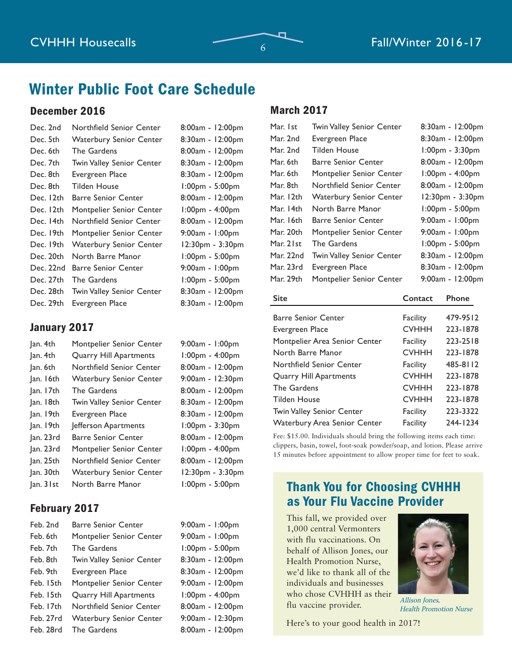# Winter Public Foot Care Schedule

#### December 2016

| Dec. 2nd  | Northfield Senior Center       | 8:00am - 12:00pm      |
|-----------|--------------------------------|-----------------------|
| Dec. 5th  | <b>Waterbury Senior Center</b> | 8:30am - 12:00pm      |
| Dec. 6th  | The Gardens                    | 8:00am - 12:00pm      |
| Dec. 7th  | Twin Valley Senior Center      | 8:30am - 12:00pm      |
| Dec. 8th  | Evergreen Place                | 8:30am - 12:00pm      |
| Dec. 8th  | Tilden House                   | 1:00pm - 5:00pm       |
| Dec. 12th | <b>Barre Senior Center</b>     | 8:00am - 12:00pm      |
| Dec. 12th | Montpelier Senior Center       | $1:00$ pm - $4:00$ pm |
| Dec. 14th | Northfield Senior Center       | 8:00am - 12:00pm      |
| Dec. 19th | Montpelier Senior Center       | $9:00am - 1:00pm$     |
| Dec. 19th | <b>Waterbury Senior Center</b> | 12:30pm - 3:30pm      |
| Dec. 20th | North Barre Manor              | 1:00pm - 5:00pm       |
| Dec. 22nd | Barre Senior Center            | $9:00am - 1:00pm$     |
| Dec. 27th | The Gardens                    | 1:00pm - 5:00pm       |
| Dec. 28th | Twin Valley Senior Center      | 8:30am - 12:00pm      |
| Dec. 29th | Evergreen Place                | 8:30am - 12:00pm      |

#### January 2017

| Jan. 4th  | Montpelier Senior Center       | 9:00am - 1:00pm       |
|-----------|--------------------------------|-----------------------|
| Jan. 4th  | Quarry Hill Apartments         | $1:00pm - 4:00pm$     |
| Jan. 6th  | Northfield Senior Center       | 8:00am - 12:00pm      |
| Jan. 16th | <b>Waterbury Senior Center</b> | 9:00am - 12:30pm      |
| Jan. 17th | The Gardens                    | 8:00am - 12:00pm      |
| an. 18th  | Twin Valley Senior Center      | 8:30am - 12:00pm      |
| an. 19th  | Evergreen Place                | 8:30am - 12:00pm      |
| an. 19th  | Jefferson Apartments           | $1:00$ pm - $3:30$ pm |
| Jan. 23rd | <b>Barre Senior Center</b>     | 8:00am - 12:00pm      |
| Jan. 23rd | Montpelier Senior Center       | 1:00pm - 4:00pm       |
| an. 25th  | Northfield Senior Center       | 8:00am - 12:00pm      |
| an. 30th  | <b>Waterbury Senior Center</b> | 12:30pm - 3:30pm      |
| Jan. 31st | North Barre Manor              | 1:00pm - 5:00pm       |

### February 2017

| Feb. 2nd  | <b>Barre Senior Center</b>     | 9:00am - 1:00pm  |
|-----------|--------------------------------|------------------|
| Feb. 6th  | Montpelier Senior Center       | 9:00am - 1:00pm  |
| Feb. 7th  | The Gardens                    | 1:00pm - 5:00pm  |
| Feb. 8th  | Twin Valley Senior Center      | 8:30am - 12:00pm |
| Feb. 9th  | Evergreen Place                | 8:30am - 12:00pm |
| Feb. 15th | Montpelier Senior Center       | 9:00am - 12:00pm |
| Feb. 15th | <b>Quarry Hill Apartments</b>  | 1:00pm - 4:00pm  |
| Feb. 17th | Northfield Senior Center       | 8:00am - 12:00pm |
| Feb. 27rd | <b>Waterbury Senior Center</b> | 9:00am - 12:30pm |
| Feb. 28rd | The Gardens                    | 8:00am - 12:00pm |

#### March 2017

| Mar. 1st  | Twin Valley Senior Center  | 8:30am - 12:00pm      |
|-----------|----------------------------|-----------------------|
| Mar. 2nd  | Evergreen Place            | 8:30am - 12:00pm      |
| Mar. 2nd  | Tilden House               | $1:00$ pm - $3:30$ pm |
| Mar. 6th  | <b>Barre Senior Center</b> | 8:00am - 12:00pm      |
| Mar. 6th  | Montpelier Senior Center   | 1:00pm - 4:00pm       |
| Mar. 8th  | Northfield Senior Center   | 8:00am - 12:00pm      |
| Mar. 12th | Waterbury Senior Center    | 12:30pm - 3:30pm      |
| Mar. 14th | North Barre Manor          | 1:00pm - 5:00pm       |
| Mar. 16th | <b>Barre Senior Center</b> | 9:00am - 1:00pm       |
| Mar. 20th | Montpelier Senior Center   | $9:00am - 1:00pm$     |
| Mar. 21st | The Gardens                | 1:00pm - 5:00pm       |
| Mar. 22nd | Twin Valley Senior Center  | 8:30am - 12:00pm      |
| Mar. 23rd | Evergreen Place            | 8:30am - 12:00pm      |
| Mar. 29th | Montpelier Senior Center   | 9:00am - 12:00pm      |
|           |                            |                       |

| <b>Site</b>                      | Contact         | Phone    |
|----------------------------------|-----------------|----------|
| <b>Barre Senior Center</b>       | Facility        | 479-9512 |
| Evergreen Place                  | <b>CVHHH</b>    | 223-1878 |
| Montpelier Area Senior Center    | Facility        | 223-2518 |
| North Barre Manor                | <b>CVHHH</b>    | 223-1878 |
| Northfield Senior Center         | Facility        | 485-8112 |
| Quarry Hill Apartments           | <b>CVHHH</b>    | 223-1878 |
| The Gardens                      | <b>CVHHH</b>    | 223-1878 |
| <b>Tilden House</b>              | <b>CVHHH</b>    | 223-1878 |
| <b>Twin Valley Senior Center</b> | Facility        | 223-3322 |
| Waterbury Area Senior Center     | <b>Facility</b> | 244-1234 |

Fee: \$15.00. Individuals should bring the following items each time: clippers, basin, towel, foot-soak powder/soap, and lotion. Please arrive 15 minutes before appointment to allow proper time for feet to soak.

# Thank You for Choosing CVHHH as Your Flu Vaccine Provider

This fall, we provided over 1,000 central Vermonters with flu vaccinations. On behalf of Allison Jones, our Health Promotion Nurse, we'd like to thank all of the individuals and businesses who chose CVHHH as their flu vaccine provider.



Allison Jones, Health Promotion Nurse

Here's to your good health in 2017!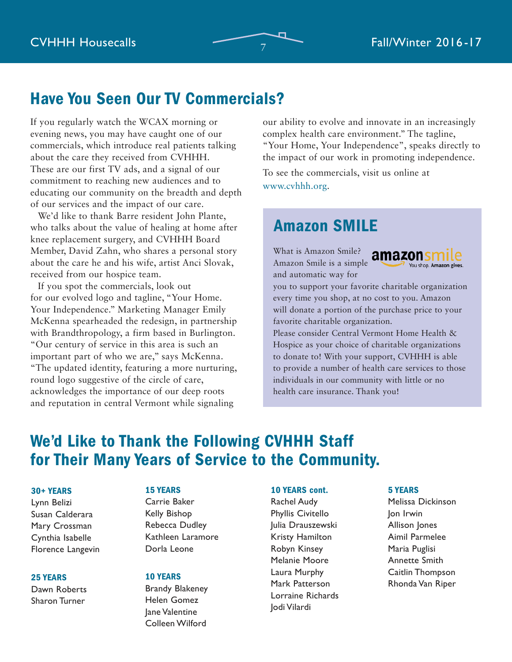# Have You Seen Our TV Commercials?

If you regularly watch the WCAX morning or evening news, you may have caught one of our commercials, which introduce real patients talking about the care they received from CVHHH. These are our first TV ads, and a signal of our commitment to reaching new audiences and to educating our community on the breadth and depth of our services and the impact of our care.

We'd like to thank Barre resident John Plante, who talks about the value of healing at home after knee replacement surgery, and CVHHH Board Member, David Zahn, who shares a personal story about the care he and his wife, artist Anci Slovak, received from our hospice team.

If you spot the commercials, look out for our evolved logo and tagline, "Your Home. Your Independence." Marketing Manager Emily McKenna spearheaded the redesign, in partnership with Brandthropology, a firm based in Burlington. "Our century of service in this area is such an important part of who we are," says McKenna. "The updated identity, featuring a more nurturing, round logo suggestive of the circle of care, acknowledges the importance of our deep roots and reputation in central Vermont while signaling

our ability to evolve and innovate in an increasingly complex health care environment." The tagline, "Your Home, Your Independence", speaks directly to the impact of our work in promoting independence.

To see the commercials, visit us online at www.cvhhh.org.

# Amazon SMILE

What is Amazon Smile? Amazon Smile is a simple and automatic way for



you to support your favorite charitable organization every time you shop, at no cost to you. Amazon will donate a portion of the purchase price to your favorite charitable organization.

Please consider Central Vermont Home Health & Hospice as your choice of charitable organizations to donate to! With your support, CVHHH is able to provide a number of health care services to those individuals in our community with little or no health care insurance. Thank you!

# We'd Like to Thank the Following CVHHH Staff for Their Many Years of Service to the Community.

#### 30+ YEARS

Lynn Belizi Susan Calderara Mary Crossman Cynthia Isabelle Florence Langevin

#### 25 YEARS

Dawn Roberts Sharon Turner

#### 15 YEARS

Carrie Baker Kelly Bishop Rebecca Dudley Kathleen Laramore Dorla Leone

#### 10 YEARS

Brandy Blakeney Helen Gomez Jane Valentine Colleen Wilford

#### 10 YEARS cont.

Rachel Audy Phyllis Civitello Julia Drauszewski Kristy Hamilton Robyn Kinsey Melanie Moore Laura Murphy Mark Patterson Lorraine Richards Jodi Vilardi

#### 5 YEARS

Melissa Dickinson Jon Irwin Allison Jones Aimil Parmelee Maria Puglisi Annette Smith Caitlin Thompson Rhonda Van Riper